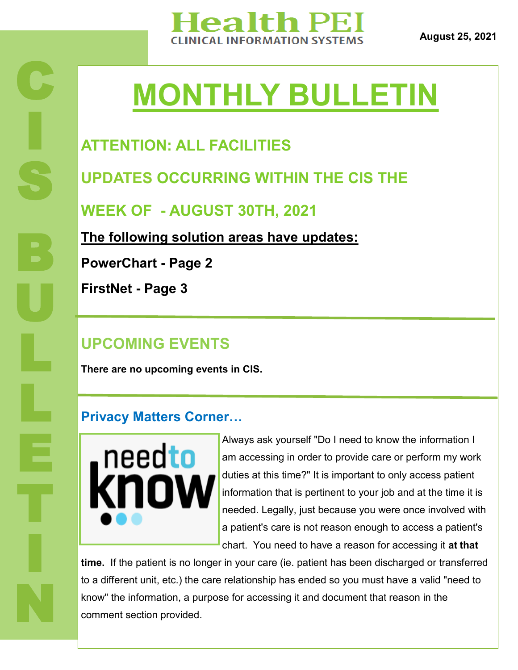

**August 25, 2021**

# **MONTHLY BULLETIN**

# **ATTENTION: ALL FACILITIES**

**UPDATES OCCURRING WITHIN THE CIS THE** 

**WEEK OF - AUGUST 30TH, 2021**

**The following solution areas have updates:**

**PowerChart - Page 2**

**FirstNet - Page 3**

C

I

S

B

U

L

L

T

I

N

## **UPCOMING EVENTS**

**There are no upcoming events in CIS.** 

#### **Privacy Matters Corner…**



Always ask yourself "Do I need to know the information I am accessing in order to provide care or perform my work duties at this time?" It is important to only access patient information that is pertinent to your job and at the time it is needed. Legally, just because you were once involved with a patient's care is not reason enough to access a patient's chart. You need to have a reason for accessing it **at that** 

**time.** If the patient is no longer in your care (ie. patient has been discharged or transferred to a different unit, etc.) the care relationship has ended so you must have a valid "need to know" the information, a purpose for accessing it and document that reason in the comment section provided.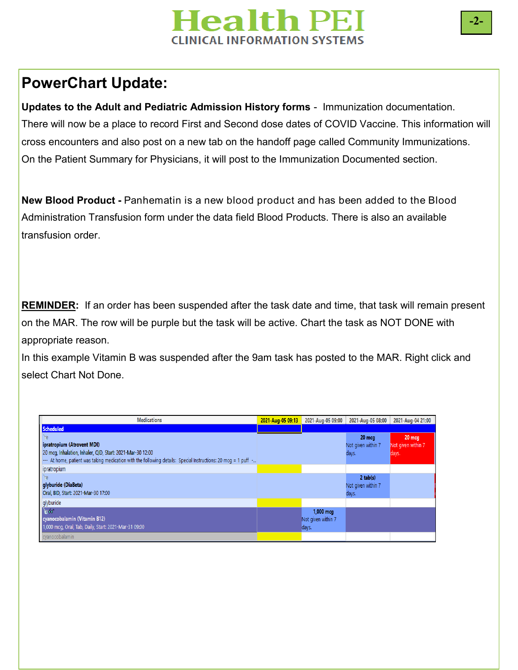# **Health PEI CLINICAL INFORMATION SYSTEMS**

## **PowerChart Update:**

**Updates to the Adult and Pediatric Admission History forms** - Immunization documentation. There will now be a place to record First and Second dose dates of COVID Vaccine. This information will cross encounters and also post on a new tab on the handoff page called Community Immunizations. On the Patient Summary for Physicians, it will post to the Immunization Documented section.

**New Blood Product -** Panhematin is a new blood product and has been added to the Blood Administration Transfusion form under the data field Blood Products. There is also an available transfusion order.

**REMINDER:** If an order has been suspended after the task date and time, that task will remain present on the MAR. The row will be purple but the task will be active. Chart the task as NOT DONE with appropriate reason.

In this example Vitamin B was suspended after the 9am task has posted to the MAR. Right click and select Chart Not Done.

| <b>Medications</b>                                                                                                                                                                                                       | 2021-Aug-05 09:13 | 2021-Aug-05 09:00                        | 2021-Aug-05 08:00                            | 2021-Aug-04 21:00                     |
|--------------------------------------------------------------------------------------------------------------------------------------------------------------------------------------------------------------------------|-------------------|------------------------------------------|----------------------------------------------|---------------------------------------|
| Scheduled                                                                                                                                                                                                                |                   |                                          |                                              |                                       |
| ipratropium (Atrovent MDI)<br>20 mcg, Inhalation, Inhaler, QID, Start: 2021-Mar-30 12:00<br>$\cdots$ At home, patient was taking medication with the following details: Special Instructions: 20 mcg = 1 puff $\cdots$ . |                   |                                          | $20$ mcg<br>Not given within 7<br>days.      | 20 mcg<br>Not given within 7<br>days. |
| lipratropium                                                                                                                                                                                                             |                   |                                          |                                              |                                       |
| glyburide (DiaBeta)<br>Oral, BID, Start: 2021-Mar-30 17:00                                                                                                                                                               |                   |                                          | $2$ tab $(s)$<br>Not given within 7<br>days. |                                       |
| glyburide                                                                                                                                                                                                                |                   |                                          |                                              |                                       |
| $\approx 66$<br>cyanocobalamin (Vitamin B12)<br>1,000 mcg, Oral, Tab, Daily, Start: 2021-Mar-31 09:00                                                                                                                    |                   | 1,000 mcg<br>Not given within 7<br>days. |                                              |                                       |
| cyanocobalamin                                                                                                                                                                                                           |                   |                                          |                                              |                                       |